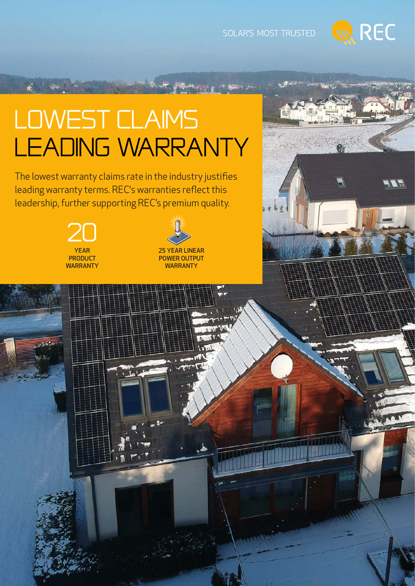

## Lowest claims LEADING WARRANTY

The lowest warranty claims rate in the industry justifies leading warranty terms. REC's warranties reflect this leadership, further supporting REC's premium quality.